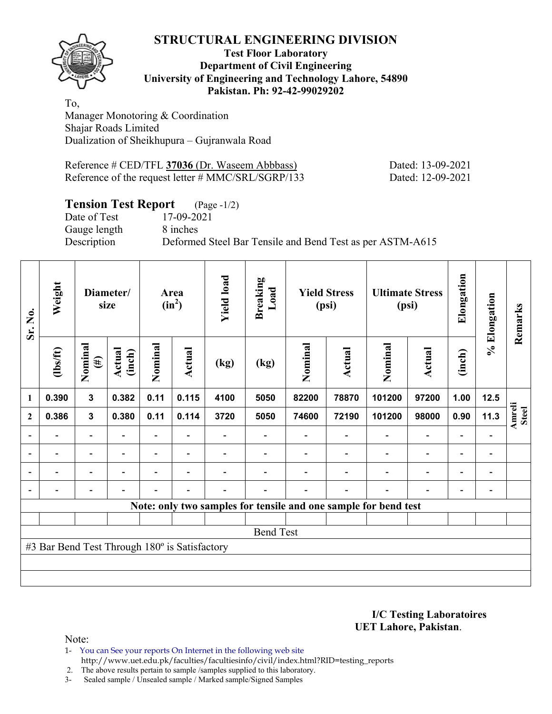**Test Floor Laboratory Department of Civil Engineering University of Engineering and Technology Lahore, 54890 Pakistan. Ph: 92-42-99029202** 

To, Manager Monotoring & Coordination Shajar Roads Limited Dualization of Sheikhupura – Gujranwala Road

Reference # CED/TFL **37036** (Dr. Waseem Abbbass) Dated: 13-09-2021 Reference of the request letter # MMC/SRL/SGRP/133 Dated: 12-09-2021

## **Tension Test Report** (Page -1/2)

Date of Test 17-09-2021 Gauge length 8 inches

Description Deformed Steel Bar Tensile and Bend Test as per ASTM-A615

| Sr. No.                  | Weight                                        |                          | Diameter/<br>size        |                          | Area<br>$(in^2)$         | <b>Yield load</b> | <b>Breaking</b><br>Load |         | <b>Yield Stress</b><br>(psi) | <b>Ultimate Stress</b>                                          | (psi)                    | Elongation               | % Elongation                 | Remarks                       |
|--------------------------|-----------------------------------------------|--------------------------|--------------------------|--------------------------|--------------------------|-------------------|-------------------------|---------|------------------------------|-----------------------------------------------------------------|--------------------------|--------------------------|------------------------------|-------------------------------|
|                          | $\frac{2}{10}$                                | Nominal<br>$(\#)$        | Actual<br>(inch)         | Nominal                  | <b>Actual</b>            | (kg)              | (kg)                    | Nominal | Actual                       | Nominal                                                         | <b>Actual</b>            | (inch)                   |                              |                               |
| 1                        | 0.390                                         | 3                        | 0.382                    | 0.11                     | 0.115                    | 4100              | 5050                    | 82200   | 78870                        | 101200                                                          | 97200                    | 1.00                     | 12.5                         |                               |
| $\mathbf{2}$             | 0.386                                         | $\mathbf{3}$             | 0.380                    | 0.11                     | 0.114                    | 3720              | 5050                    | 74600   | 72190                        | 101200                                                          | 98000                    | 0.90                     | 11.3                         | <b>Amreli</b><br><b>Steel</b> |
|                          |                                               | $\overline{\phantom{0}}$ |                          |                          |                          |                   |                         |         |                              |                                                                 | $\overline{a}$           |                          |                              |                               |
| $\overline{\phantom{a}}$ | $\overline{\phantom{0}}$                      | $\overline{\phantom{a}}$ | $\overline{\phantom{0}}$ | $\overline{\phantom{0}}$ | $\overline{\phantom{a}}$ |                   |                         |         | $\overline{\phantom{a}}$     | $\overline{\phantom{a}}$                                        | $\overline{\phantom{a}}$ | $\overline{\phantom{a}}$ | $\overline{\phantom{a}}$     |                               |
|                          | $\overline{\phantom{0}}$                      | $\overline{\phantom{0}}$ |                          | $\overline{a}$           | $\overline{\phantom{0}}$ |                   |                         |         |                              | $\blacksquare$                                                  | $\overline{a}$           | $\overline{\phantom{a}}$ | $\qquad \qquad \blacksquare$ |                               |
|                          |                                               | Ξ.                       | $\overline{\phantom{0}}$ | $\overline{\phantom{0}}$ | $\blacksquare$           | -                 |                         |         | $\overline{\phantom{0}}$     | $\blacksquare$                                                  | $\overline{a}$           | $\overline{\phantom{0}}$ | $\qquad \qquad \blacksquare$ |                               |
|                          |                                               |                          |                          |                          |                          |                   |                         |         |                              | Note: only two samples for tensile and one sample for bend test |                          |                          |                              |                               |
|                          |                                               |                          |                          |                          |                          |                   |                         |         |                              |                                                                 |                          |                          |                              |                               |
|                          |                                               |                          |                          |                          |                          |                   | <b>Bend Test</b>        |         |                              |                                                                 |                          |                          |                              |                               |
|                          | #3 Bar Bend Test Through 180° is Satisfactory |                          |                          |                          |                          |                   |                         |         |                              |                                                                 |                          |                          |                              |                               |
|                          |                                               |                          |                          |                          |                          |                   |                         |         |                              |                                                                 |                          |                          |                              |                               |
|                          |                                               |                          |                          |                          |                          |                   |                         |         |                              |                                                                 |                          |                          |                              |                               |

**I/C Testing Laboratoires UET Lahore, Pakistan**.

Note:

1- You can See your reports On Internet in the following web site http://www.uet.edu.pk/faculties/facultiesinfo/civil/index.html?RID=testing\_reports

2. The above results pertain to sample /samples supplied to this laboratory.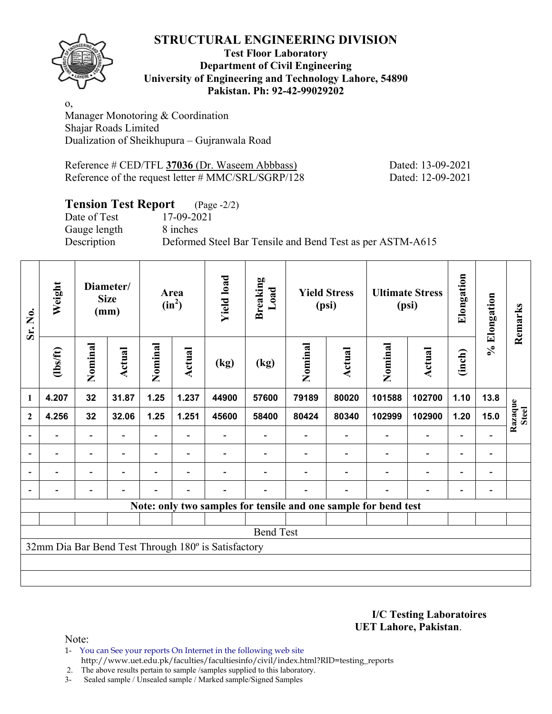

**Test Floor Laboratory Department of Civil Engineering University of Engineering and Technology Lahore, 54890 Pakistan. Ph: 92-42-99029202** 

o, Manager Monotoring & Coordination Shajar Roads Limited Dualization of Sheikhupura – Gujranwala Road

Reference # CED/TFL **37036** (Dr. Waseem Abbbass) Dated: 13-09-2021 Reference of the request letter # MMC/SRL/SGRP/128 Dated: 12-09-2021

## **Tension Test Report** (Page -2/2)

Date of Test 17-09-2021 Gauge length 8 inches

Description Deformed Steel Bar Tensile and Bend Test as per ASTM-A615

| Sr. No.                  | Weight                   |                          | Diameter/<br><b>Size</b><br>(mm) |                          | Area<br>$(in^2)$         | <b>Yield load</b>                                   | <b>Breaking</b><br>Load |         | <b>Yield Stress</b><br>(psi) |                                                                 | <b>Ultimate Stress</b><br>(psi) | Elongation               | % Elongation             | Remarks                 |
|--------------------------|--------------------------|--------------------------|----------------------------------|--------------------------|--------------------------|-----------------------------------------------------|-------------------------|---------|------------------------------|-----------------------------------------------------------------|---------------------------------|--------------------------|--------------------------|-------------------------|
|                          | $\frac{2}{10}$           | Nominal                  | Actual                           | Nominal                  | Actual                   | (kg)                                                | (kg)                    | Nominal | <b>Actual</b>                | Nominal                                                         | Actual                          | (inch)                   |                          |                         |
| $\mathbf{1}$             | 4.207                    | 32                       | 31.87                            | 1.25                     | 1.237                    | 44900                                               | 57600                   | 79189   | 80020                        | 101588                                                          | 102700                          | 1.10                     | 13.8                     |                         |
| $\mathbf{2}$             | 4.256                    | 32                       | 32.06                            | 1.25                     | 1.251                    | 45600                                               | 58400                   | 80424   | 80340                        | 102999                                                          | 102900                          | 1.20                     | 15.0                     | Razaque<br><b>Steel</b> |
| $\overline{\phantom{a}}$ |                          | $\overline{\phantom{a}}$ |                                  |                          |                          |                                                     |                         |         |                              |                                                                 | $\overline{\phantom{a}}$        | $\overline{a}$           |                          |                         |
| $\overline{\phantom{a}}$ | $\blacksquare$           | $\overline{\phantom{0}}$ |                                  |                          | $\blacksquare$           |                                                     |                         |         |                              | $\overline{\phantom{0}}$                                        | $\blacksquare$                  | $\overline{\phantom{a}}$ | $\blacksquare$           |                         |
| $\overline{\phantom{0}}$ | $\overline{\phantom{0}}$ | Ξ.                       |                                  | $\overline{\phantom{0}}$ | $\overline{\phantom{0}}$ |                                                     |                         |         |                              | $\overline{\phantom{0}}$                                        | $\overline{a}$                  | $\overline{\phantom{a}}$ | $\overline{\phantom{0}}$ |                         |
|                          |                          |                          |                                  |                          | $\overline{\phantom{0}}$ |                                                     |                         |         |                              |                                                                 | $\overline{\phantom{0}}$        | $\overline{\phantom{0}}$ |                          |                         |
|                          |                          |                          |                                  |                          |                          |                                                     |                         |         |                              | Note: only two samples for tensile and one sample for bend test |                                 |                          |                          |                         |
|                          |                          |                          |                                  |                          |                          |                                                     |                         |         |                              |                                                                 |                                 |                          |                          |                         |
|                          |                          |                          |                                  |                          |                          |                                                     | <b>Bend Test</b>        |         |                              |                                                                 |                                 |                          |                          |                         |
|                          |                          |                          |                                  |                          |                          | 32mm Dia Bar Bend Test Through 180° is Satisfactory |                         |         |                              |                                                                 |                                 |                          |                          |                         |
|                          |                          |                          |                                  |                          |                          |                                                     |                         |         |                              |                                                                 |                                 |                          |                          |                         |
|                          |                          |                          |                                  |                          |                          |                                                     |                         |         |                              |                                                                 |                                 |                          |                          |                         |

**I/C Testing Laboratoires UET Lahore, Pakistan**.

- 1- You can See your reports On Internet in the following web site http://www.uet.edu.pk/faculties/facultiesinfo/civil/index.html?RID=testing\_reports
- 2. The above results pertain to sample /samples supplied to this laboratory.
- 3- Sealed sample / Unsealed sample / Marked sample/Signed Samples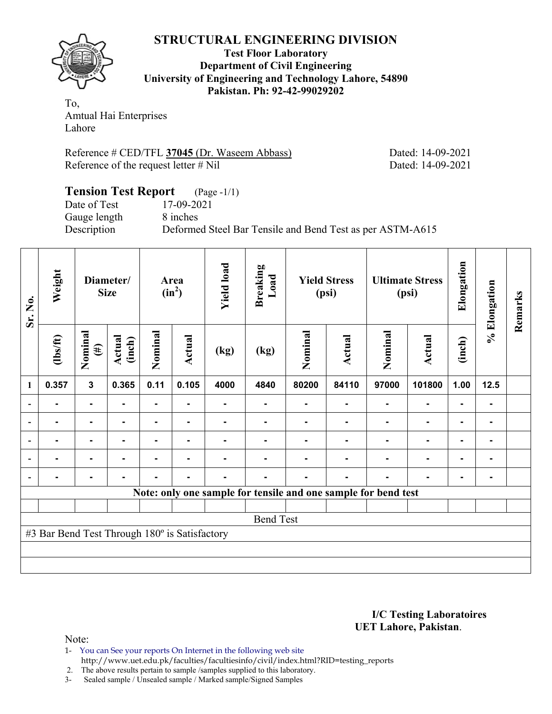

**Test Floor Laboratory Department of Civil Engineering University of Engineering and Technology Lahore, 54890 Pakistan. Ph: 92-42-99029202** 

To, Amtual Hai Enterprises Lahore

Reference # CED/TFL **37045** (Dr. Waseem Abbass) Dated: 14-09-2021 Reference of the request letter # Nil Dated: 14-09-2021

#### **Tension Test Report** (Page -1/1) Date of Test 17-09-2021 Gauge length 8 inches Description Deformed Steel Bar Tensile and Bend Test as per ASTM-A615

| Sr. No.                  | Weight                                        |                   | Diameter/<br><b>Size</b> |                | Area<br>$(in^2)$ | <b>Yield load</b> | <b>Breaking</b><br>Load |         | <b>Yield Stress</b><br>(psi)                                   |         | <b>Ultimate Stress</b><br>(psi) | Elongation     | % Elongation   | Remarks |
|--------------------------|-----------------------------------------------|-------------------|--------------------------|----------------|------------------|-------------------|-------------------------|---------|----------------------------------------------------------------|---------|---------------------------------|----------------|----------------|---------|
|                          | $\frac{2}{10}$                                | Nominal<br>$(\#)$ | Actual<br>(inch)         | Nominal        | <b>Actual</b>    | (kg)              | (kg)                    | Nominal | <b>Actual</b>                                                  | Nominal | <b>Actual</b>                   | (inch)         |                |         |
| 1                        | 0.357                                         | $\mathbf{3}$      | 0.365                    | 0.11           | 0.105            | 4000              | 4840                    | 80200   | 84110                                                          | 97000   | 101800                          | 1.00           | $12.5$         |         |
|                          | $\blacksquare$                                | $\blacksquare$    | $\blacksquare$           |                | $\blacksquare$   | ۰                 | ۰                       | ۰       | ٠                                                              |         | $\blacksquare$                  | $\blacksquare$ | $\blacksquare$ |         |
| $\overline{\phantom{a}}$ |                                               | -                 |                          | $\blacksquare$ | ۰                |                   |                         |         |                                                                |         | -                               | -              | ۰              |         |
| $\overline{\phantom{a}}$ |                                               |                   |                          |                |                  |                   |                         |         |                                                                |         |                                 |                | ۰              |         |
| $\overline{\phantom{a}}$ |                                               | $\blacksquare$    |                          | $\blacksquare$ | ۰                |                   |                         |         |                                                                |         | $\blacksquare$                  |                | ۰              |         |
| $\blacksquare$           |                                               |                   |                          |                | ۰                |                   |                         |         |                                                                |         |                                 | -              | ۰              |         |
|                          |                                               |                   |                          |                |                  |                   |                         |         | Note: only one sample for tensile and one sample for bend test |         |                                 |                |                |         |
|                          |                                               |                   |                          |                |                  |                   |                         |         |                                                                |         |                                 |                |                |         |
|                          |                                               |                   |                          |                |                  |                   | <b>Bend Test</b>        |         |                                                                |         |                                 |                |                |         |
|                          | #3 Bar Bend Test Through 180° is Satisfactory |                   |                          |                |                  |                   |                         |         |                                                                |         |                                 |                |                |         |
|                          |                                               |                   |                          |                |                  |                   |                         |         |                                                                |         |                                 |                |                |         |
|                          |                                               |                   |                          |                |                  |                   |                         |         |                                                                |         |                                 |                |                |         |

**I/C Testing Laboratoires UET Lahore, Pakistan**.

Note:

1- You can See your reports On Internet in the following web site http://www.uet.edu.pk/faculties/facultiesinfo/civil/index.html?RID=testing\_reports

2. The above results pertain to sample /samples supplied to this laboratory.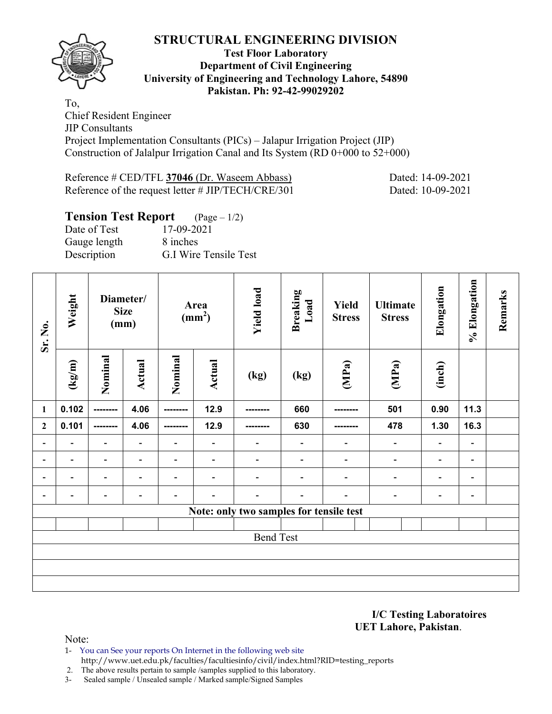

#### **Test Floor Laboratory Department of Civil Engineering University of Engineering and Technology Lahore, 54890 Pakistan. Ph: 92-42-99029202**

To, Chief Resident Engineer JIP Consultants Project Implementation Consultants (PICs) – Jalapur Irrigation Project (JIP) Construction of Jalalpur Irrigation Canal and Its System (RD  $0+000$  to  $52+000$ )

Reference # CED/TFL **37046** (Dr. Waseem Abbass) Dated: 14-09-2021 Reference of the request letter # JIP/TECH/CRE/301 Dated: 10-09-2021

#### **Tension Test Report** (Page – 1/2) Date of Test 17-09-2021 Gauge length 8 inches Description G.I Wire Tensile Test

| Sr. No.                      | Weight                       | Diameter/<br>(mm)        | <b>Size</b>                  |                              | Area<br>$\text{(mm}^2)$      | <b>Yield load</b>                       | <b>Breaking</b><br>Load      | Yield<br><b>Stress</b>   | <b>Ultimate</b><br><b>Stress</b> | Elongation               | % Elongation             | Remarks |
|------------------------------|------------------------------|--------------------------|------------------------------|------------------------------|------------------------------|-----------------------------------------|------------------------------|--------------------------|----------------------------------|--------------------------|--------------------------|---------|
|                              | (kg/m)                       | Nominal                  | Actual                       | Nominal                      | <b>Actual</b>                | (kg)                                    | (kg)                         | (MPa)                    | (MPa)                            | (inch)                   |                          |         |
| $\mathbf{1}$                 | 0.102                        | ---------                | 4.06                         | ---------                    | 12.9                         | --------                                | 660                          | -----                    | 501                              | 0.90                     | 11.3                     |         |
| $\mathbf{2}$                 | 0.101                        | --------                 | 4.06                         | ---------                    | 12.9                         | --------                                | 630                          |                          | 478                              | 1.30                     | 16.3                     |         |
| $\qquad \qquad \blacksquare$ | $\overline{\phantom{a}}$     | $\blacksquare$           | $\overline{\phantom{a}}$     | ۰                            | $\overline{\phantom{a}}$     | $\qquad \qquad \blacksquare$            | $\blacksquare$               | $\overline{\phantom{a}}$ | $\overline{\phantom{a}}$         | $\overline{\phantom{a}}$ | $\blacksquare$           |         |
| $\overline{\phantom{0}}$     | $\qquad \qquad \blacksquare$ | $\overline{\phantom{a}}$ | $\qquad \qquad \blacksquare$ | $\qquad \qquad \blacksquare$ | $\qquad \qquad \blacksquare$ | $\overline{\phantom{a}}$                | $\qquad \qquad \blacksquare$ | $\overline{\phantom{a}}$ | $\overline{\phantom{a}}$         | $\overline{\phantom{a}}$ | $\overline{\phantom{a}}$ |         |
| $\qquad \qquad \blacksquare$ | $\qquad \qquad \blacksquare$ | $\overline{\phantom{a}}$ | $\overline{\phantom{a}}$     | $\overline{\phantom{a}}$     | $\overline{\phantom{a}}$     | $\overline{\phantom{a}}$                | $\overline{\phantom{0}}$     | $\overline{\phantom{a}}$ | $\overline{\phantom{a}}$         | $\overline{\phantom{a}}$ | $\blacksquare$           |         |
|                              |                              | $\blacksquare$           | $\overline{a}$               | $\qquad \qquad \blacksquare$ | $\blacksquare$               | $\overline{\phantom{a}}$                | $\blacksquare$               | $\overline{a}$           | $\overline{a}$                   | $\overline{\phantom{a}}$ | -                        |         |
|                              |                              |                          |                              |                              |                              | Note: only two samples for tensile test |                              |                          |                                  |                          |                          |         |
|                              |                              |                          |                              |                              |                              |                                         |                              |                          |                                  |                          |                          |         |
|                              |                              |                          |                              |                              |                              | <b>Bend Test</b>                        |                              |                          |                                  |                          |                          |         |
|                              |                              |                          |                              |                              |                              |                                         |                              |                          |                                  |                          |                          |         |
|                              |                              |                          |                              |                              |                              |                                         |                              |                          |                                  |                          |                          |         |
|                              |                              |                          |                              |                              |                              |                                         |                              |                          |                                  |                          |                          |         |

**I/C Testing Laboratoires UET Lahore, Pakistan**.

- 1- You can See your reports On Internet in the following web site http://www.uet.edu.pk/faculties/facultiesinfo/civil/index.html?RID=testing\_reports
- 2. The above results pertain to sample /samples supplied to this laboratory.
- 3- Sealed sample / Unsealed sample / Marked sample/Signed Samples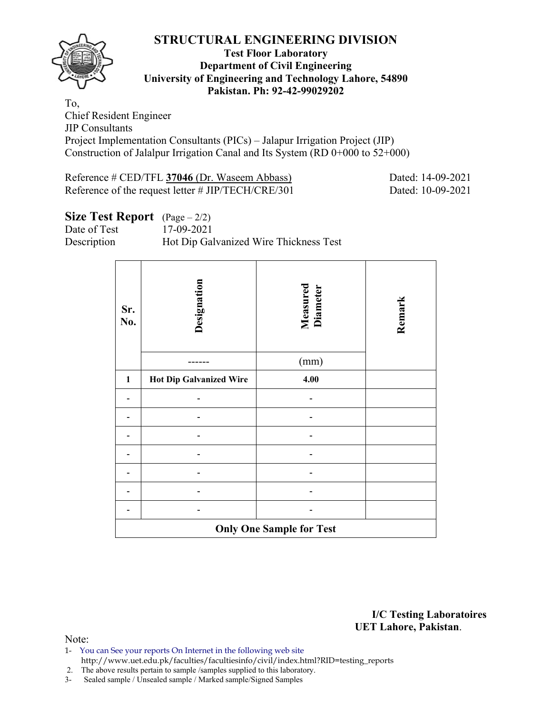

#### **Test Floor Laboratory Department of Civil Engineering University of Engineering and Technology Lahore, 54890 Pakistan. Ph: 92-42-99029202**

To, Chief Resident Engineer JIP Consultants Project Implementation Consultants (PICs) – Jalapur Irrigation Project (JIP) Construction of Jalalpur Irrigation Canal and Its System (RD 0+000 to 52+000)

Reference # CED/TFL **37046** (Dr. Waseem Abbass) Dated: 14-09-2021 Reference of the request letter # JIP/TECH/CRE/301 Dated: 10-09-2021

## **Size Test Report** (Page – 2/2)

Date of Test 17-09-2021

Description Hot Dip Galvanized Wire Thickness Test

| Sr.<br>No.                      | Designation                    | <b>Measured</b><br>Diameter | Remark |  |  |  |  |  |  |
|---------------------------------|--------------------------------|-----------------------------|--------|--|--|--|--|--|--|
|                                 |                                | (mm)                        |        |  |  |  |  |  |  |
| 1                               | <b>Hot Dip Galvanized Wire</b> | 4.00                        |        |  |  |  |  |  |  |
|                                 |                                |                             |        |  |  |  |  |  |  |
|                                 |                                |                             |        |  |  |  |  |  |  |
|                                 |                                |                             |        |  |  |  |  |  |  |
|                                 |                                |                             |        |  |  |  |  |  |  |
|                                 |                                |                             |        |  |  |  |  |  |  |
|                                 |                                |                             |        |  |  |  |  |  |  |
|                                 |                                |                             |        |  |  |  |  |  |  |
| <b>Only One Sample for Test</b> |                                |                             |        |  |  |  |  |  |  |

**I/C Testing Laboratoires UET Lahore, Pakistan**.

- 1- You can See your reports On Internet in the following web site http://www.uet.edu.pk/faculties/facultiesinfo/civil/index.html?RID=testing\_reports
- 2. The above results pertain to sample /samples supplied to this laboratory.
- 3- Sealed sample / Unsealed sample / Marked sample/Signed Samples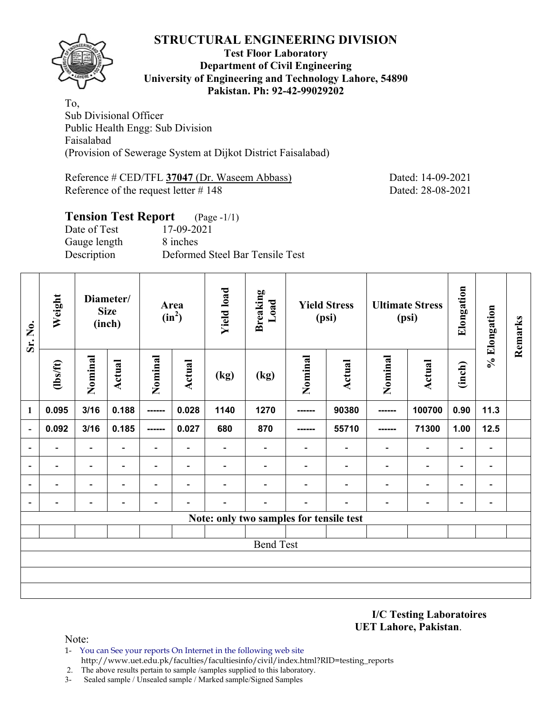

#### **Test Floor Laboratory Department of Civil Engineering University of Engineering and Technology Lahore, 54890 Pakistan. Ph: 92-42-99029202**

To, Sub Divisional Officer Public Health Engg: Sub Division Faisalabad (Provision of Sewerage System at Dijkot District Faisalabad)

Reference # CED/TFL 37047 (Dr. Waseem Abbass) Dated: 14-09-2021 Reference of the request letter # 148 Dated: 28-08-2021

# **Tension Test Report** (Page -1/1) Date of Test 17-09-2021

Gauge length 8 inches Description Deformed Steel Bar Tensile Test

| Sr. No.                  | Weight                   |                          | Diameter/<br><b>Size</b><br>(inch) | $(in^2)$                 | Area                     | <b>Yield load</b>        | <b>Breaking</b><br>Load                 |                          | <b>Yield Stress</b><br>(psi) |                          | <b>Ultimate Stress</b><br>(psi) | Elongation               | % Elongation             | Remarks |
|--------------------------|--------------------------|--------------------------|------------------------------------|--------------------------|--------------------------|--------------------------|-----------------------------------------|--------------------------|------------------------------|--------------------------|---------------------------------|--------------------------|--------------------------|---------|
|                          | (1bs/ft)                 | Nominal                  | <b>Actual</b>                      | Nominal                  | Actual                   | (kg)                     | (kg)                                    | Nominal                  | <b>Actual</b>                | Nominal                  | <b>Actual</b>                   | (inch)                   |                          |         |
| 1                        | 0.095                    | 3/16                     | 0.188                              | ------                   | 0.028                    | 1140                     | 1270                                    | ------                   | 90380                        | -------                  | 100700                          | 0.90                     | 11.3                     |         |
| $\blacksquare$           | 0.092                    | 3/16                     | 0.185                              | -------                  | 0.027                    | 680                      | 870                                     | ------                   | 55710                        | ------                   | 71300                           | 1.00                     | 12.5                     |         |
| $\overline{\phantom{a}}$ | $\overline{\phantom{a}}$ | $\blacksquare$           | $\overline{\phantom{a}}$           | $\overline{\phantom{0}}$ | $\overline{\phantom{a}}$ | $\overline{\phantom{0}}$ | $\overline{\phantom{0}}$                | $\overline{\phantom{0}}$ | $\overline{\phantom{0}}$     | $\overline{\phantom{0}}$ | $\overline{\phantom{a}}$        | $\overline{\phantom{a}}$ | $\overline{\phantom{a}}$ |         |
| $\blacksquare$           | $\overline{\phantom{a}}$ | $\overline{\phantom{a}}$ | $\overline{\phantom{a}}$           | $\overline{\phantom{0}}$ | $\overline{\phantom{a}}$ | $\overline{\phantom{0}}$ | $\overline{\phantom{0}}$                | $\overline{\phantom{a}}$ | $\overline{\phantom{a}}$     | $\blacksquare$           | $\overline{\phantom{a}}$        | $\overline{\phantom{a}}$ | $\overline{\phantom{a}}$ |         |
| $\overline{\phantom{a}}$ |                          | $\overline{\phantom{0}}$ |                                    | $\overline{\phantom{0}}$ | $\blacksquare$           |                          |                                         |                          | $\overline{\phantom{0}}$     | $\overline{\phantom{0}}$ | $\overline{\phantom{a}}$        | $\overline{\phantom{0}}$ | $\overline{\phantom{a}}$ |         |
| $\blacksquare$           |                          |                          |                                    | $\overline{\phantom{0}}$ | $\overline{\phantom{0}}$ |                          | $\overline{\phantom{0}}$                |                          |                              |                          | $\qquad \qquad -$               | $\overline{\phantom{0}}$ | $\overline{\phantom{a}}$ |         |
|                          |                          |                          |                                    |                          |                          |                          | Note: only two samples for tensile test |                          |                              |                          |                                 |                          |                          |         |
|                          |                          |                          |                                    |                          |                          |                          |                                         |                          |                              |                          |                                 |                          |                          |         |
|                          |                          |                          |                                    |                          |                          |                          | <b>Bend Test</b>                        |                          |                              |                          |                                 |                          |                          |         |
|                          |                          |                          |                                    |                          |                          |                          |                                         |                          |                              |                          |                                 |                          |                          |         |
|                          |                          |                          |                                    |                          |                          |                          |                                         |                          |                              |                          |                                 |                          |                          |         |
|                          |                          |                          |                                    |                          |                          |                          |                                         |                          |                              |                          |                                 |                          |                          |         |

**I/C Testing Laboratoires UET Lahore, Pakistan**.

- 1- You can See your reports On Internet in the following web site http://www.uet.edu.pk/faculties/facultiesinfo/civil/index.html?RID=testing\_reports
- 2. The above results pertain to sample /samples supplied to this laboratory.
- 3- Sealed sample / Unsealed sample / Marked sample/Signed Samples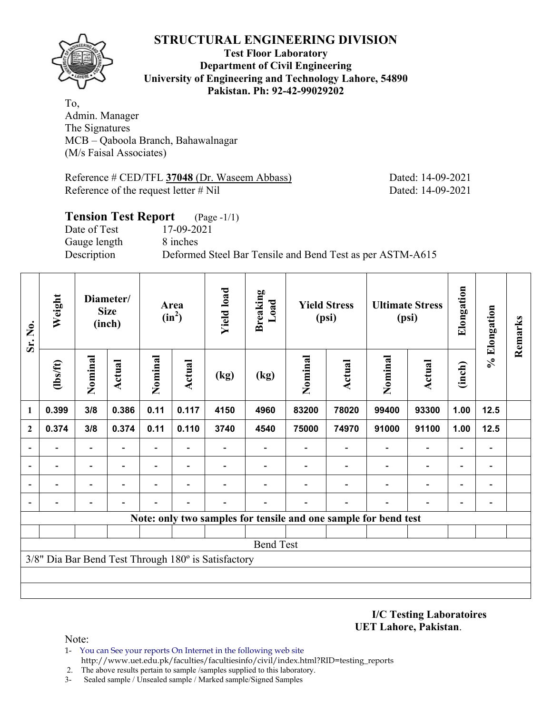

#### **Test Floor Laboratory Department of Civil Engineering University of Engineering and Technology Lahore, 54890 Pakistan. Ph: 92-42-99029202**

To, Admin. Manager The Signatures MCB – Qaboola Branch, Bahawalnagar (M/s Faisal Associates)

Reference # CED/TFL **37048** (Dr. Waseem Abbass) Dated: 14-09-2021 Reference of the request letter # Nil Dated: 14-09-2021

## **Tension Test Report** (Page -1/1) Date of Test 17-09-2021 Gauge length 8 inches Description Deformed Steel Bar Tensile and Bend Test as per ASTM-A615

| Sr. No.      | Weight         |                          | Diameter/<br><b>Size</b><br>(inch) |                          | Area<br>$(in^2)$         | <b>Yield load</b>                                   | <b>Breaking</b><br>Load      |                                                                 | <b>Yield Stress</b><br>(psi) |                          | <b>Ultimate Stress</b><br>(psi) | Elongation               | % Elongation                 | Remarks |
|--------------|----------------|--------------------------|------------------------------------|--------------------------|--------------------------|-----------------------------------------------------|------------------------------|-----------------------------------------------------------------|------------------------------|--------------------------|---------------------------------|--------------------------|------------------------------|---------|
|              | $\frac{2}{10}$ | Nominal                  | Actual                             | Nominal                  | Actual                   | (kg)                                                | (kg)                         | Nominal                                                         | Actual                       | Nominal                  | Actual                          | (inch)                   |                              |         |
| 1            | 0.399          | 3/8                      | 0.386                              | 0.11                     | 0.117                    | 4150                                                | 4960                         | 83200                                                           | 78020                        | 99400                    | 93300                           | 1.00                     | 12.5                         |         |
| $\mathbf{2}$ | 0.374          | 3/8                      | 0.374                              | 0.11                     | 0.110                    | 3740                                                | 4540                         | 75000                                                           | 74970                        | 91000                    | 91100                           | 1.00                     | 12.5                         |         |
|              |                |                          |                                    | $\overline{\phantom{0}}$ |                          |                                                     |                              |                                                                 |                              |                          | $\overline{\phantom{0}}$        |                          | $\qquad \qquad \blacksquare$ |         |
|              |                | $\overline{\phantom{0}}$ | $\overline{\phantom{0}}$           | $\qquad \qquad -$        | $\overline{\phantom{a}}$ |                                                     | $\qquad \qquad \blacksquare$ | $\overline{\phantom{0}}$                                        |                              | $\overline{\phantom{0}}$ | $\overline{a}$                  | $\overline{\phantom{0}}$ | $\qquad \qquad \blacksquare$ |         |
|              |                |                          |                                    |                          | $\overline{\phantom{0}}$ |                                                     |                              |                                                                 |                              |                          |                                 |                          | $\overline{a}$               |         |
|              |                |                          |                                    |                          |                          |                                                     |                              |                                                                 |                              |                          |                                 |                          | -                            |         |
|              |                |                          |                                    |                          |                          |                                                     |                              | Note: only two samples for tensile and one sample for bend test |                              |                          |                                 |                          |                              |         |
|              |                |                          |                                    |                          |                          |                                                     |                              |                                                                 |                              |                          |                                 |                          |                              |         |
|              |                |                          |                                    |                          |                          |                                                     | <b>Bend Test</b>             |                                                                 |                              |                          |                                 |                          |                              |         |
|              |                |                          |                                    |                          |                          | 3/8" Dia Bar Bend Test Through 180° is Satisfactory |                              |                                                                 |                              |                          |                                 |                          |                              |         |
|              |                |                          |                                    |                          |                          |                                                     |                              |                                                                 |                              |                          |                                 |                          |                              |         |
|              |                |                          |                                    |                          |                          |                                                     |                              |                                                                 |                              |                          |                                 |                          |                              |         |

**I/C Testing Laboratoires UET Lahore, Pakistan**.

- 1- You can See your reports On Internet in the following web site http://www.uet.edu.pk/faculties/facultiesinfo/civil/index.html?RID=testing\_reports
- 2. The above results pertain to sample /samples supplied to this laboratory.
- 3- Sealed sample / Unsealed sample / Marked sample/Signed Samples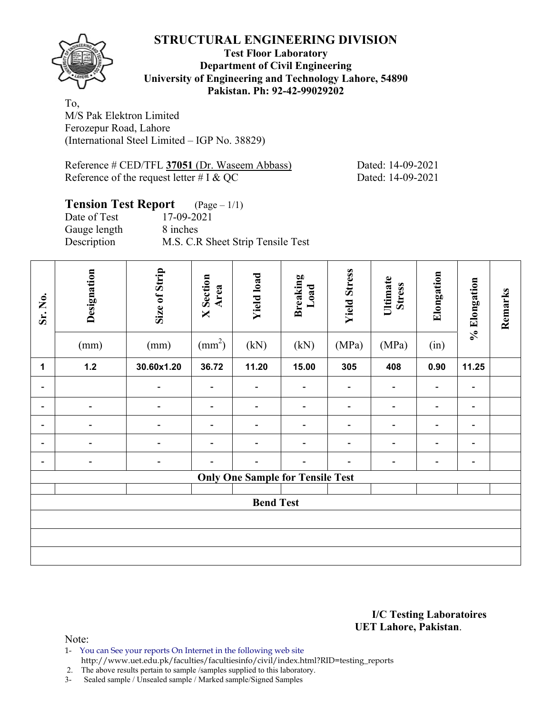

**Test Floor Laboratory Department of Civil Engineering University of Engineering and Technology Lahore, 54890 Pakistan. Ph: 92-42-99029202** 

To, M/S Pak Elektron Limited Ferozepur Road, Lahore (International Steel Limited – IGP No. 38829)

Reference # CED/TFL 37051 (Dr. Waseem Abbass) Dated: 14-09-2021 Reference of the request letter  $\#\text{I} \& \text{QC}$  Dated: 14-09-2021

#### **Tension Test Report** (Page – 1/1) Date of Test 17-09-2021 Gauge length 8 inches

Description M.S. C.R Sheet Strip Tensile Test

| Sr. No.                      | Designation<br>(mm)      | Size of Strip<br>(mm)    | <b>X</b> Section<br>Area<br>$\text{(mm}^2)$ | <b>Yield load</b><br>(kN)               | <b>Breaking</b><br>Load<br>(kN) | <b>Yield Stress</b><br>(MPa) | Ultimate<br><b>Stress</b><br>(MPa) | Elongation<br>(in)           | % Elongation                 | Remarks |
|------------------------------|--------------------------|--------------------------|---------------------------------------------|-----------------------------------------|---------------------------------|------------------------------|------------------------------------|------------------------------|------------------------------|---------|
| 1                            | $1.2$                    | 30.60x1.20               | 36.72                                       | 11.20                                   | 15.00                           | 305                          | 408                                | 0.90                         | 11.25                        |         |
| Ξ.                           |                          | $\overline{\phantom{0}}$ | $\overline{\phantom{a}}$                    | $\overline{\phantom{a}}$                | $\overline{\phantom{a}}$        | $\qquad \qquad \blacksquare$ | -                                  | $\qquad \qquad \blacksquare$ | $\qquad \qquad \blacksquare$ |         |
| $\overline{\phantom{0}}$     |                          |                          |                                             | $\blacksquare$                          |                                 | $\qquad \qquad \blacksquare$ | -                                  | $\overline{a}$               | $\qquad \qquad \blacksquare$ |         |
| $\qquad \qquad \blacksquare$ |                          |                          |                                             | $\overline{a}$                          |                                 | -                            | $\overline{\phantom{0}}$           |                              | $\qquad \qquad \blacksquare$ |         |
| $\overline{\phantom{0}}$     | $\overline{\phantom{a}}$ | $\overline{\phantom{a}}$ | $\overline{a}$                              | $\blacksquare$                          | $\overline{\phantom{0}}$        | $\overline{\phantom{a}}$     | $\overline{\phantom{0}}$           |                              | $\blacksquare$               |         |
| $\overline{\phantom{0}}$     | $\overline{\phantom{a}}$ | $\overline{\phantom{a}}$ | $\overline{\phantom{0}}$                    | $\blacksquare$                          | $\overline{\phantom{a}}$        | $\qquad \qquad \blacksquare$ | $\overline{\phantom{0}}$           | $\qquad \qquad \blacksquare$ | $\qquad \qquad \blacksquare$ |         |
|                              |                          |                          |                                             | <b>Only One Sample for Tensile Test</b> |                                 |                              |                                    |                              |                              |         |
|                              |                          |                          |                                             |                                         |                                 |                              |                                    |                              |                              |         |
|                              |                          |                          |                                             | <b>Bend Test</b>                        |                                 |                              |                                    |                              |                              |         |
|                              |                          |                          |                                             |                                         |                                 |                              |                                    |                              |                              |         |
|                              |                          |                          |                                             |                                         |                                 |                              |                                    |                              |                              |         |
|                              |                          |                          |                                             |                                         |                                 |                              |                                    |                              |                              |         |

#### **I/C Testing Laboratoires UET Lahore, Pakistan**.

Note:

- 1- You can See your reports On Internet in the following web site
- http://www.uet.edu.pk/faculties/facultiesinfo/civil/index.html?RID=testing\_reports

2. The above results pertain to sample /samples supplied to this laboratory.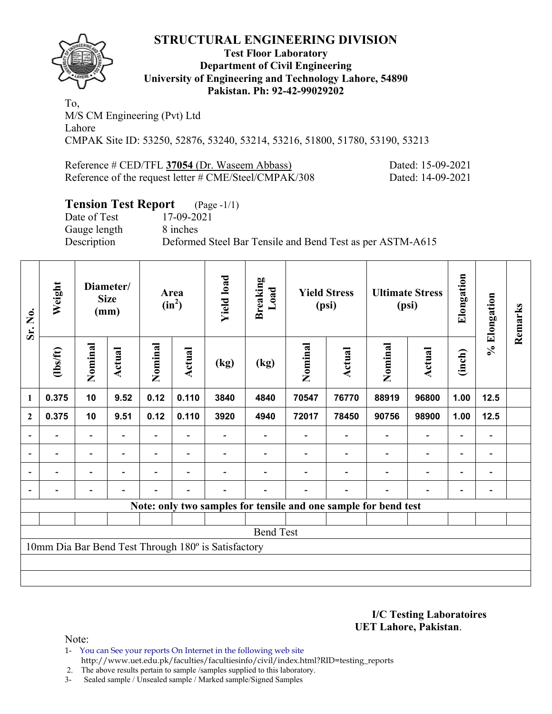

#### **Test Floor Laboratory Department of Civil Engineering University of Engineering and Technology Lahore, 54890 Pakistan. Ph: 92-42-99029202**

To, M/S CM Engineering (Pvt) Ltd Lahore CMPAK Site ID: 53250, 52876, 53240, 53214, 53216, 51800, 51780, 53190, 53213

Reference # CED/TFL **37054** (Dr. Waseem Abbass) Dated: 15-09-2021 Reference of the request letter # CME/Steel/CMPAK/308 Dated: 14-09-2021

## **Tension Test Report** (Page -1/1)

Date of Test 17-09-2021 Gauge length 8 inches

Description Deformed Steel Bar Tensile and Bend Test as per ASTM-A615

| Sr. No.                  | Weight                   |                          | Diameter/<br><b>Size</b><br>(mm) |         | Area<br>$(in^2)$ | <b>Yield load</b>                                   | <b>Breaking</b><br>Load                                         |         | <b>Yield Stress</b><br>(psi) |                          | <b>Ultimate Stress</b><br>(psi) | Elongation               | % Elongation             | Remarks |
|--------------------------|--------------------------|--------------------------|----------------------------------|---------|------------------|-----------------------------------------------------|-----------------------------------------------------------------|---------|------------------------------|--------------------------|---------------------------------|--------------------------|--------------------------|---------|
|                          | (1bs/ft)                 | Nominal                  | Actual                           | Nominal | Actual           | (kg)                                                | (kg)                                                            | Nominal | Actual                       | Nominal                  | <b>Actual</b>                   | (inch)                   |                          |         |
| 1                        | 0.375                    | 10                       | 9.52                             | 0.12    | 0.110            | 3840                                                | 4840                                                            | 70547   | 76770                        | 88919                    | 96800                           | 1.00                     | 12.5                     |         |
| $\mathbf{2}$             | 0.375                    | 10                       | 9.51                             | 0.12    | 0.110            | 3920                                                | 4940                                                            | 72017   | 78450                        | 90756                    | 98900                           | 1.00                     | 12.5                     |         |
|                          |                          |                          |                                  |         |                  |                                                     |                                                                 |         |                              |                          | $\overline{\phantom{a}}$        | $\overline{\phantom{0}}$ |                          |         |
| $\overline{\phantom{a}}$ | $\overline{\phantom{0}}$ | $\blacksquare$           | $\overline{\phantom{a}}$         |         | $\blacksquare$   |                                                     |                                                                 |         | $\overline{\phantom{0}}$     | $\overline{a}$           | $\qquad \qquad \blacksquare$    | $\blacksquare$           | $\overline{\phantom{a}}$ |         |
| $\overline{a}$           | -                        | $\overline{\phantom{0}}$ | $\overline{\phantom{0}}$         |         | ٠                |                                                     |                                                                 |         |                              | $\overline{\phantom{0}}$ | $\overline{\phantom{a}}$        | $\overline{\phantom{0}}$ | $\blacksquare$           |         |
|                          | -                        | $\overline{\phantom{0}}$ | $\overline{\phantom{0}}$         | -       | $\blacksquare$   | $\overline{\phantom{0}}$                            |                                                                 |         | $\overline{\phantom{0}}$     | $\overline{\phantom{0}}$ | $\overline{\phantom{a}}$        | $\overline{\phantom{a}}$ | $\overline{a}$           |         |
|                          |                          |                          |                                  |         |                  |                                                     | Note: only two samples for tensile and one sample for bend test |         |                              |                          |                                 |                          |                          |         |
|                          |                          |                          |                                  |         |                  |                                                     |                                                                 |         |                              |                          |                                 |                          |                          |         |
|                          |                          |                          |                                  |         |                  |                                                     | <b>Bend Test</b>                                                |         |                              |                          |                                 |                          |                          |         |
|                          |                          |                          |                                  |         |                  | 10mm Dia Bar Bend Test Through 180° is Satisfactory |                                                                 |         |                              |                          |                                 |                          |                          |         |
|                          |                          |                          |                                  |         |                  |                                                     |                                                                 |         |                              |                          |                                 |                          |                          |         |
|                          |                          |                          |                                  |         |                  |                                                     |                                                                 |         |                              |                          |                                 |                          |                          |         |

**I/C Testing Laboratoires UET Lahore, Pakistan**.

Note:

1- You can See your reports On Internet in the following web site http://www.uet.edu.pk/faculties/facultiesinfo/civil/index.html?RID=testing\_reports

2. The above results pertain to sample /samples supplied to this laboratory.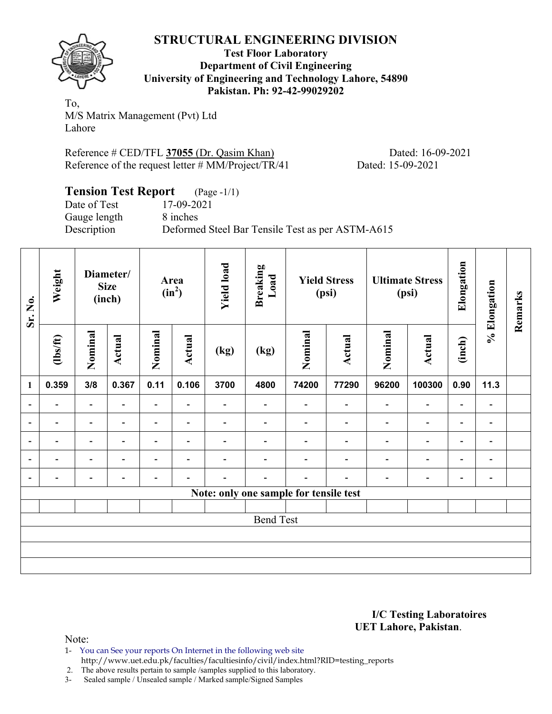

**Test Floor Laboratory Department of Civil Engineering University of Engineering and Technology Lahore, 54890 Pakistan. Ph: 92-42-99029202** 

To, M/S Matrix Management (Pvt) Ltd Lahore

Reference # CED/TFL **37055** (Dr. Qasim Khan) Dated: 16-09-2021 Reference of the request letter # MM/Project/TR/41 Dated: 15-09-2021

| <b>Tension Test Report</b> (Page -1/1) |                                                  |
|----------------------------------------|--------------------------------------------------|
| Date of Test                           | 17-09-2021                                       |
| Gauge length                           | 8 inches                                         |
| Description                            | Deformed Steel Bar Tensile Test as per ASTM-A615 |

| Sr. No.                  | Weight                   |                          | Diameter/<br><b>Size</b><br>(inch) |                          | Area<br>$(in^2)$         | <b>Yield load</b> | <b>Breaking</b><br>Load                |                          | <b>Yield Stress</b><br>(psi) |                          | <b>Ultimate Stress</b><br>(psi) | Elongation               | % Elongation                 | Remarks |
|--------------------------|--------------------------|--------------------------|------------------------------------|--------------------------|--------------------------|-------------------|----------------------------------------|--------------------------|------------------------------|--------------------------|---------------------------------|--------------------------|------------------------------|---------|
|                          | $\frac{2}{10}$           | Nominal                  | <b>Actual</b>                      | Nominal                  | <b>Actual</b>            | (kg)              | (kg)                                   | Nominal                  | Actual                       | Nominal                  | Actual                          | (inch)                   |                              |         |
| $\mathbf{1}$             | 0.359                    | 3/8                      | 0.367                              | 0.11                     | 0.106                    | 3700              | 4800                                   | 74200                    | 77290                        | 96200                    | 100300                          | 0.90                     | 11.3                         |         |
| $\overline{\phantom{a}}$ | $\overline{\phantom{a}}$ | Ξ.                       |                                    | Ξ.                       | $\overline{\phantom{0}}$ |                   | $\overline{a}$                         |                          |                              | ۰                        | $\overline{\phantom{a}}$        | $\overline{\phantom{0}}$ | $\qquad \qquad \blacksquare$ |         |
| $\overline{\phantom{0}}$ | -                        | -                        | $\overline{\phantom{a}}$           | $\overline{\phantom{0}}$ | $\blacksquare$           |                   | $\overline{a}$                         | $\overline{\phantom{0}}$ |                              | $\overline{\phantom{0}}$ | $\overline{\phantom{a}}$        | $\overline{\phantom{a}}$ | $\blacksquare$               |         |
| $\overline{a}$           | -                        | $\overline{\phantom{0}}$ |                                    | $\overline{\phantom{0}}$ | $\overline{\phantom{0}}$ |                   |                                        |                          |                              |                          | $\overline{\phantom{0}}$        | $\overline{\phantom{0}}$ | $\overline{\phantom{a}}$     |         |
| $\overline{\phantom{a}}$ | -                        | -                        | $\blacksquare$                     | $\overline{\phantom{0}}$ | ٠                        |                   |                                        |                          |                              |                          | $\overline{\phantom{0}}$        | $\overline{\phantom{0}}$ | $\overline{\phantom{a}}$     |         |
| $\overline{\phantom{a}}$ | -                        | -                        |                                    | $\overline{\phantom{0}}$ | ٠                        |                   |                                        | $\overline{\phantom{0}}$ |                              |                          | $\overline{\phantom{a}}$        | $\overline{\phantom{a}}$ | $\blacksquare$               |         |
|                          |                          |                          |                                    |                          |                          |                   | Note: only one sample for tensile test |                          |                              |                          |                                 |                          |                              |         |
|                          |                          |                          |                                    |                          |                          |                   |                                        |                          |                              |                          |                                 |                          |                              |         |
|                          |                          |                          |                                    |                          |                          |                   | <b>Bend Test</b>                       |                          |                              |                          |                                 |                          |                              |         |
|                          |                          |                          |                                    |                          |                          |                   |                                        |                          |                              |                          |                                 |                          |                              |         |
|                          |                          |                          |                                    |                          |                          |                   |                                        |                          |                              |                          |                                 |                          |                              |         |
|                          |                          |                          |                                    |                          |                          |                   |                                        |                          |                              |                          |                                 |                          |                              |         |

#### **I/C Testing Laboratoires UET Lahore, Pakistan**.

Note:

1- You can See your reports On Internet in the following web site http://www.uet.edu.pk/faculties/facultiesinfo/civil/index.html?RID=testing\_reports

2. The above results pertain to sample /samples supplied to this laboratory.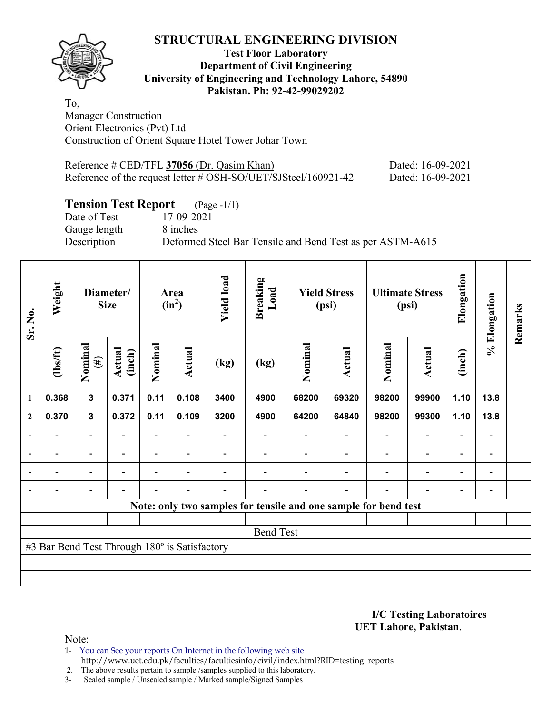

#### **Test Floor Laboratory Department of Civil Engineering University of Engineering and Technology Lahore, 54890 Pakistan. Ph: 92-42-99029202**

To, Manager Construction Orient Electronics (Pvt) Ltd Construction of Orient Square Hotel Tower Johar Town

| Reference $\#$ CED/TFL 37056 (Dr. Qasim Khan)                     | Dated: 16-09-2021 |
|-------------------------------------------------------------------|-------------------|
| Reference of the request letter $\#$ OSH-SO/UET/SJSteel/160921-42 | Dated: 16-09-2021 |

## **Tension Test Report** (Page -1/1)

Gauge length 8 inches

Date of Test 17-09-2021 Description Deformed Steel Bar Tensile and Bend Test as per ASTM-A615

| Sr. No.                  | Weight                                        | Diameter/<br><b>Size</b> |                          | Area<br>$(in^2)$ |                          | <b>Yield load</b><br><b>Breaking</b><br>Load |                  | <b>Yield Stress</b><br>(psi) |                                                                 | <b>Ultimate Stress</b><br>(psi) |                          | Elongation               | % Elongation                 | Remarks |
|--------------------------|-----------------------------------------------|--------------------------|--------------------------|------------------|--------------------------|----------------------------------------------|------------------|------------------------------|-----------------------------------------------------------------|---------------------------------|--------------------------|--------------------------|------------------------------|---------|
|                          | $\frac{2}{10}$                                | Nominal<br>$(\#)$        | Actual<br>(inch)         | Nominal          | Actual                   | (kg)                                         | (kg)             | Nominal                      | Actual                                                          | Nominal                         | <b>Actual</b>            | (inch)                   |                              |         |
| 1                        | 0.368                                         | 3                        | 0.371                    | 0.11             | 0.108                    | 3400                                         | 4900             | 68200                        | 69320                                                           | 98200                           | 99900                    | 1.10                     | 13.8                         |         |
| $\mathbf{2}$             | 0.370                                         | 3                        | 0.372                    | 0.11             | 0.109                    | 3200                                         | 4900             | 64200                        | 64840                                                           | 98200                           | 99300                    | 1.10                     | 13.8                         |         |
| $\overline{\phantom{0}}$ |                                               | $\overline{\phantom{a}}$ |                          |                  |                          |                                              |                  |                              |                                                                 |                                 |                          |                          |                              |         |
| $\overline{\phantom{a}}$ | $\overline{\phantom{a}}$                      | $\overline{\phantom{a}}$ | $\blacksquare$           |                  | $\blacksquare$           |                                              |                  |                              |                                                                 | $\overline{\phantom{0}}$        | $\overline{a}$           | $\overline{\phantom{0}}$ | $\overline{\phantom{a}}$     |         |
|                          | $\blacksquare$                                | $\overline{\phantom{a}}$ | ۰                        |                  | ۰                        |                                              |                  |                              |                                                                 | $\blacksquare$                  | $\overline{\phantom{0}}$ | $\blacksquare$           | $\qquad \qquad \blacksquare$ |         |
|                          |                                               | $\overline{a}$           | $\overline{\phantom{0}}$ |                  | $\overline{\phantom{0}}$ | $\overline{\phantom{0}}$                     |                  |                              | $\overline{\phantom{0}}$                                        | $\blacksquare$                  | $\overline{\phantom{0}}$ | $\blacksquare$           |                              |         |
|                          |                                               |                          |                          |                  |                          |                                              |                  |                              | Note: only two samples for tensile and one sample for bend test |                                 |                          |                          |                              |         |
|                          |                                               |                          |                          |                  |                          |                                              |                  |                              |                                                                 |                                 |                          |                          |                              |         |
|                          |                                               |                          |                          |                  |                          |                                              | <b>Bend Test</b> |                              |                                                                 |                                 |                          |                          |                              |         |
|                          | #3 Bar Bend Test Through 180° is Satisfactory |                          |                          |                  |                          |                                              |                  |                              |                                                                 |                                 |                          |                          |                              |         |
|                          |                                               |                          |                          |                  |                          |                                              |                  |                              |                                                                 |                                 |                          |                          |                              |         |
|                          |                                               |                          |                          |                  |                          |                                              |                  |                              |                                                                 |                                 |                          |                          |                              |         |

**I/C Testing Laboratoires UET Lahore, Pakistan**.

Note:

1- You can See your reports On Internet in the following web site http://www.uet.edu.pk/faculties/facultiesinfo/civil/index.html?RID=testing\_reports

2. The above results pertain to sample /samples supplied to this laboratory.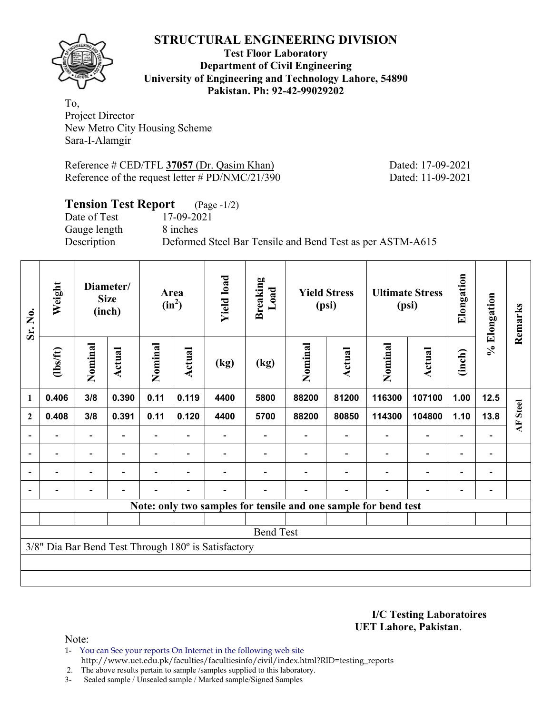

#### **Test Floor Laboratory Department of Civil Engineering University of Engineering and Technology Lahore, 54890 Pakistan. Ph: 92-42-99029202**

To, Project Director New Metro City Housing Scheme Sara-I-Alamgir

Reference # CED/TFL 37057 (Dr. Qasim Khan) Dated: 17-09-2021 Reference of the request letter # PD/NMC/21/390 Dated: 11-09-2021

## **Tension Test Report** (Page -1/2)

Date of Test 17-09-2021 Gauge length 8 inches

Description Deformed Steel Bar Tensile and Bend Test as per ASTM-A615

| Sr. No.                  | Weight   | Diameter/<br><b>Size</b><br>(inch) |                          | Area<br>$(in^2)$ |                          | <b>Yield load</b>                                   | <b>Breaking</b><br>Load | <b>Yield Stress</b><br>(psi) |                          | <b>Ultimate Stress</b><br>(psi)                                 |                | Elongation                   | % Elongation             | Remarks  |
|--------------------------|----------|------------------------------------|--------------------------|------------------|--------------------------|-----------------------------------------------------|-------------------------|------------------------------|--------------------------|-----------------------------------------------------------------|----------------|------------------------------|--------------------------|----------|
|                          | (1bs/ft) | Nominal                            | Actual                   | Nominal          | <b>Actual</b>            | (kg)                                                | (kg)                    | Nominal                      | Actual                   | Nominal                                                         | Actual         | (inch)                       |                          |          |
| $\mathbf{1}$             | 0.406    | 3/8                                | 0.390                    | 0.11             | 0.119                    | 4400                                                | 5800                    | 88200                        | 81200                    | 116300                                                          | 107100         | 1.00                         | 12.5                     |          |
| $\boldsymbol{2}$         | 0.408    | 3/8                                | 0.391                    | 0.11             | 0.120                    | 4400                                                | 5700                    | 88200                        | 80850                    | 114300                                                          | 104800         | 1.10                         | 13.8                     | AF Steel |
|                          |          | $\blacksquare$                     |                          |                  |                          |                                                     |                         |                              |                          |                                                                 | $\blacksquare$ | $\overline{a}$               |                          |          |
| $\overline{\phantom{0}}$ |          | $\blacksquare$                     | $\overline{\phantom{a}}$ | Ξ.               | $\overline{\phantom{a}}$ |                                                     |                         |                              |                          | $\blacksquare$                                                  | $\overline{a}$ | $\qquad \qquad \blacksquare$ | $\overline{\phantom{0}}$ |          |
|                          | Ξ.       | Ξ.                                 |                          | $\blacksquare$   | $\overline{\phantom{0}}$ |                                                     |                         |                              |                          | ÷                                                               | $\overline{a}$ | $\overline{\phantom{a}}$     |                          |          |
|                          |          | $\overline{\phantom{0}}$           | $\overline{\phantom{0}}$ |                  | $\blacksquare$           |                                                     |                         |                              | $\overline{\phantom{0}}$ | $\blacksquare$                                                  | $\overline{a}$ | $\overline{\phantom{a}}$     |                          |          |
|                          |          |                                    |                          |                  |                          |                                                     |                         |                              |                          | Note: only two samples for tensile and one sample for bend test |                |                              |                          |          |
|                          |          |                                    |                          |                  |                          |                                                     |                         |                              |                          |                                                                 |                |                              |                          |          |
|                          |          |                                    |                          |                  |                          |                                                     | <b>Bend Test</b>        |                              |                          |                                                                 |                |                              |                          |          |
|                          |          |                                    |                          |                  |                          | 3/8" Dia Bar Bend Test Through 180° is Satisfactory |                         |                              |                          |                                                                 |                |                              |                          |          |
|                          |          |                                    |                          |                  |                          |                                                     |                         |                              |                          |                                                                 |                |                              |                          |          |
|                          |          |                                    |                          |                  |                          |                                                     |                         |                              |                          |                                                                 |                |                              |                          |          |

**I/C Testing Laboratoires UET Lahore, Pakistan**.

- 1- You can See your reports On Internet in the following web site http://www.uet.edu.pk/faculties/facultiesinfo/civil/index.html?RID=testing\_reports
- 2. The above results pertain to sample /samples supplied to this laboratory.
- 3- Sealed sample / Unsealed sample / Marked sample/Signed Samples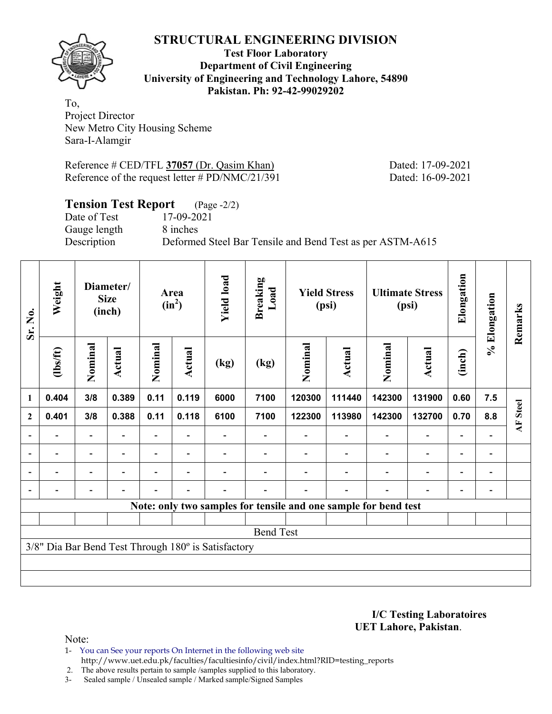

#### **Test Floor Laboratory Department of Civil Engineering University of Engineering and Technology Lahore, 54890 Pakistan. Ph: 92-42-99029202**

To, Project Director New Metro City Housing Scheme Sara-I-Alamgir

Reference # CED/TFL 37057 (Dr. Qasim Khan) Dated: 17-09-2021 Reference of the request letter # PD/NMC/21/391 Dated: 16-09-2021

## **Tension Test Report** (Page -2/2)

Date of Test 17-09-2021 Gauge length 8 inches

Description Deformed Steel Bar Tensile and Bend Test as per ASTM-A615

| Sr. No.                  | Weight                   | Diameter/<br><b>Size</b><br>(inch) |                |                          |                          |                                                     |                  | Area<br>$(in^2)$                                                |                | <b>Yield load</b>        | <b>Breaking</b><br>Load  | <b>Yield Stress</b><br>(psi) |                          | <b>Ultimate Stress</b><br>(psi) |  | Elongation | % Elongation | Remarks |
|--------------------------|--------------------------|------------------------------------|----------------|--------------------------|--------------------------|-----------------------------------------------------|------------------|-----------------------------------------------------------------|----------------|--------------------------|--------------------------|------------------------------|--------------------------|---------------------------------|--|------------|--------------|---------|
|                          | (1bs/ft)                 | Nominal                            | Actual         | Nominal                  | <b>Actual</b>            | (kg)                                                | (kg)             | Nominal                                                         | Actual         | Nominal                  | <b>Actual</b>            | (inch)                       |                          |                                 |  |            |              |         |
| $\mathbf{1}$             | 0.404                    | 3/8                                | 0.389          | 0.11                     | 0.119                    | 6000                                                | 7100             | 120300                                                          | 111440         | 142300                   | 131900                   | 0.60                         | 7.5                      |                                 |  |            |              |         |
| $\mathbf{2}$             | 0.401                    | 3/8                                | 0.388          | 0.11                     | 0.118                    | 6100                                                | 7100             | 122300                                                          | 113980         | 142300                   | 132700                   | 0.70                         | 8.8                      | <b>AF</b> Steel                 |  |            |              |         |
| $\overline{\phantom{0}}$ |                          | $\overline{\phantom{0}}$           |                |                          |                          |                                                     |                  |                                                                 |                |                          | $\overline{\phantom{0}}$ | $\blacksquare$               |                          |                                 |  |            |              |         |
| $\blacksquare$           | ۰                        | $\overline{\phantom{a}}$           | ۰              | $\blacksquare$           |                          |                                                     |                  |                                                                 | $\blacksquare$ |                          | $\overline{\phantom{0}}$ | $\overline{\phantom{0}}$     | $\blacksquare$           |                                 |  |            |              |         |
| $\blacksquare$           | $\overline{\phantom{0}}$ | Ξ.                                 | $\blacksquare$ | $\overline{\phantom{0}}$ | $\overline{\phantom{0}}$ |                                                     |                  |                                                                 |                | $\overline{\phantom{0}}$ | $\blacksquare$           | $\overline{\phantom{0}}$     | $\overline{\phantom{a}}$ |                                 |  |            |              |         |
|                          |                          | $\overline{\phantom{0}}$           |                |                          | $\overline{\phantom{0}}$ |                                                     |                  |                                                                 |                |                          |                          |                              |                          |                                 |  |            |              |         |
|                          |                          |                                    |                |                          |                          |                                                     |                  | Note: only two samples for tensile and one sample for bend test |                |                          |                          |                              |                          |                                 |  |            |              |         |
|                          |                          |                                    |                |                          |                          |                                                     |                  |                                                                 |                |                          |                          |                              |                          |                                 |  |            |              |         |
|                          |                          |                                    |                |                          |                          |                                                     | <b>Bend Test</b> |                                                                 |                |                          |                          |                              |                          |                                 |  |            |              |         |
|                          |                          |                                    |                |                          |                          | 3/8" Dia Bar Bend Test Through 180° is Satisfactory |                  |                                                                 |                |                          |                          |                              |                          |                                 |  |            |              |         |
|                          |                          |                                    |                |                          |                          |                                                     |                  |                                                                 |                |                          |                          |                              |                          |                                 |  |            |              |         |
|                          |                          |                                    |                |                          |                          |                                                     |                  |                                                                 |                |                          |                          |                              |                          |                                 |  |            |              |         |

**I/C Testing Laboratoires UET Lahore, Pakistan**.

Note:

1- You can See your reports On Internet in the following web site http://www.uet.edu.pk/faculties/facultiesinfo/civil/index.html?RID=testing\_reports

2. The above results pertain to sample /samples supplied to this laboratory.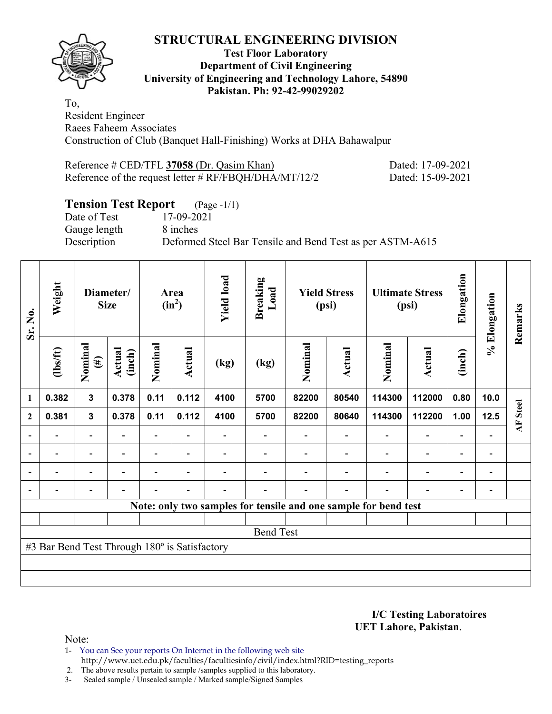

#### **Test Floor Laboratory Department of Civil Engineering University of Engineering and Technology Lahore, 54890 Pakistan. Ph: 92-42-99029202**

To, Resident Engineer Raees Faheem Associates Construction of Club (Banquet Hall-Finishing) Works at DHA Bahawalpur

| Reference # CED/TFL 37058 (Dr. Qasim Khan)               | Dated: 17-09-2021 |
|----------------------------------------------------------|-------------------|
| Reference of the request letter $\#$ RF/FBQH/DHA/MT/12/2 | Dated: 15-09-2021 |

## **Tension Test Report** (Page -1/1)

Date of Test 17-09-2021 Gauge length 8 inches

Description Deformed Steel Bar Tensile and Bend Test as per ASTM-A615

| Sr. No.      | Weight<br>Diameter/<br><b>Size</b>            |                              |                  | Area<br>$(in^2)$ |                          | <b>Yield load</b> | <b>Breaking</b><br>Load                                         |         | <b>Yield Stress</b><br>(psi) |                          | <b>Ultimate Stress</b><br>(psi) | Elongation               | % Elongation             | Remarks         |
|--------------|-----------------------------------------------|------------------------------|------------------|------------------|--------------------------|-------------------|-----------------------------------------------------------------|---------|------------------------------|--------------------------|---------------------------------|--------------------------|--------------------------|-----------------|
|              | $\frac{2}{10}$                                | Nominal<br>$(\#)$            | Actual<br>(inch) | Nominal          | Actual                   | (kg)              | (kg)                                                            | Nominal | <b>Actual</b>                | Nominal                  | Actual                          | (inch)                   |                          |                 |
| 1            | 0.382                                         | $\mathbf{3}$                 | 0.378            | 0.11             | 0.112                    | 4100              | 5700                                                            | 82200   | 80540                        | 114300                   | 112000                          | 0.80                     | 10.0                     |                 |
| $\mathbf{2}$ | 0.381                                         | $\mathbf{3}$                 | 0.378            | 0.11             | 0.112                    | 4100              | 5700                                                            | 82200   | 80640                        | 114300                   | 112200                          | 1.00                     | 12.5                     | <b>AF</b> Steel |
|              |                                               | $\overline{\phantom{0}}$     |                  |                  |                          |                   |                                                                 |         |                              |                          | $\overline{\phantom{a}}$        | $\blacksquare$           |                          |                 |
|              | $\blacksquare$                                | $\overline{\phantom{a}}$     | $\blacksquare$   |                  | $\overline{\phantom{a}}$ |                   |                                                                 |         |                              |                          | $\overline{\phantom{0}}$        | $\blacksquare$           | $\blacksquare$           |                 |
|              | $\overline{\phantom{0}}$                      | $\qquad \qquad \blacksquare$ | -                | Ξ.               | $\overline{\phantom{a}}$ |                   |                                                                 |         |                              | $\overline{\phantom{0}}$ | $\blacksquare$                  | $\overline{\phantom{0}}$ | $\overline{\phantom{a}}$ |                 |
|              | $\overline{\phantom{0}}$                      | -                            |                  |                  | $\blacksquare$           |                   |                                                                 |         |                              | $\overline{\phantom{0}}$ | $\overline{a}$                  | $\overline{\phantom{0}}$ |                          |                 |
|              |                                               |                              |                  |                  |                          |                   | Note: only two samples for tensile and one sample for bend test |         |                              |                          |                                 |                          |                          |                 |
|              |                                               |                              |                  |                  |                          |                   |                                                                 |         |                              |                          |                                 |                          |                          |                 |
|              |                                               |                              |                  |                  |                          |                   | <b>Bend Test</b>                                                |         |                              |                          |                                 |                          |                          |                 |
|              | #3 Bar Bend Test Through 180° is Satisfactory |                              |                  |                  |                          |                   |                                                                 |         |                              |                          |                                 |                          |                          |                 |
|              |                                               |                              |                  |                  |                          |                   |                                                                 |         |                              |                          |                                 |                          |                          |                 |
|              |                                               |                              |                  |                  |                          |                   |                                                                 |         |                              |                          |                                 |                          |                          |                 |

**I/C Testing Laboratoires UET Lahore, Pakistan**.

Note:

1- You can See your reports On Internet in the following web site http://www.uet.edu.pk/faculties/facultiesinfo/civil/index.html?RID=testing\_reports

2. The above results pertain to sample /samples supplied to this laboratory.